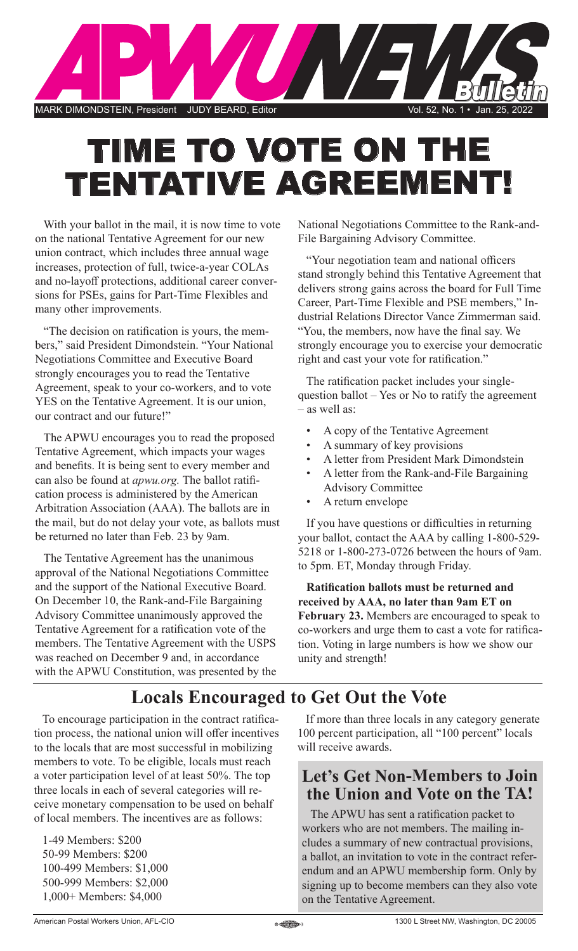

# TIME TO VOTE ON THE TENTATIVE AGREEMENT!

With your ballot in the mail, it is now time to vote on the national Tentative Agreement for our new union contract, which includes three annual wage increases, protection of full, twice-a-year COLAs and no-layoff protections, additional career conversions for PSEs, gains for Part-Time Flexibles and many other improvements.

"The decision on ratification is yours, the members," said President Dimondstein. "Your National Negotiations Committee and Executive Board strongly encourages you to read the Tentative Agreement, speak to your co-workers, and to vote YES on the Tentative Agreement. It is our union, our contract and our future!"

The APWU encourages you to read the proposed Tentative Agreement, which impacts your wages and benefits. It is being sent to every member and can also be found at *apwu.org.* The ballot ratification process is administered by the American Arbitration Association (AAA). The ballots are in the mail, but do not delay your vote, as ballots must be returned no later than Feb. 23 by 9am.

The Tentative Agreement has the unanimous approval of the National Negotiations Committee and the support of the National Executive Board. On December 10, the Rank-and-File Bargaining Advisory Committee unanimously approved the Tentative Agreement for a ratification vote of the members. The Tentative Agreement with the USPS was reached on December 9 and, in accordance with the APWU Constitution, was presented by the National Negotiations Committee to the Rank-and-File Bargaining Advisory Committee.

"Your negotiation team and national officers stand strongly behind this Tentative Agreement that delivers strong gains across the board for Full Time Career, Part-Time Flexible and PSE members," Industrial Relations Director Vance Zimmerman said. "You, the members, now have the final say. We strongly encourage you to exercise your democratic right and cast your vote for ratification."

The ratification packet includes your singlequestion ballot – Yes or No to ratify the agreement – as well as:

- A copy of the Tentative Agreement
- A summary of key provisions
- A letter from President Mark Dimondstein
- A letter from the Rank-and-File Bargaining Advisory Committee
- A return envelope

If you have questions or difficulties in returning your ballot, contact the AAA by calling 1-800-529- 5218 or 1-800-273-0726 between the hours of 9am. to 5pm. ET, Monday through Friday.

**Ratification ballots must be returned and received by AAA, no later than 9am ET on February 23.** Members are encouraged to speak to co-workers and urge them to cast a vote for ratification. Voting in large numbers is how we show our unity and strength!

## **Locals Encouraged to Get Out the Vote**

To encourage participation in the contract ratification process, the national union will offer incentives to the locals that are most successful in mobilizing members to vote. To be eligible, locals must reach a voter participation level of at least 50%. The top three locals in each of several categories will receive monetary compensation to be used on behalf of local members. The incentives are as follows:

1-49 Members: \$200 50-99 Members: \$200 100-499 Members: \$1,000 500-999 Members: \$2,000 1,000+ Members: \$4,000

If more than three locals in any category generate 100 percent participation, all "100 percent" locals will receive awards.

## **Let's Get Non-Members to Join the Union and Vote on the TA!**

The APWU has sent a ratification packet to workers who are not members. The mailing includes a summary of new contractual provisions, a ballot, an invitation to vote in the contract referendum and an APWU membership form. Only by signing up to become members can they also vote on the Tentative Agreement.